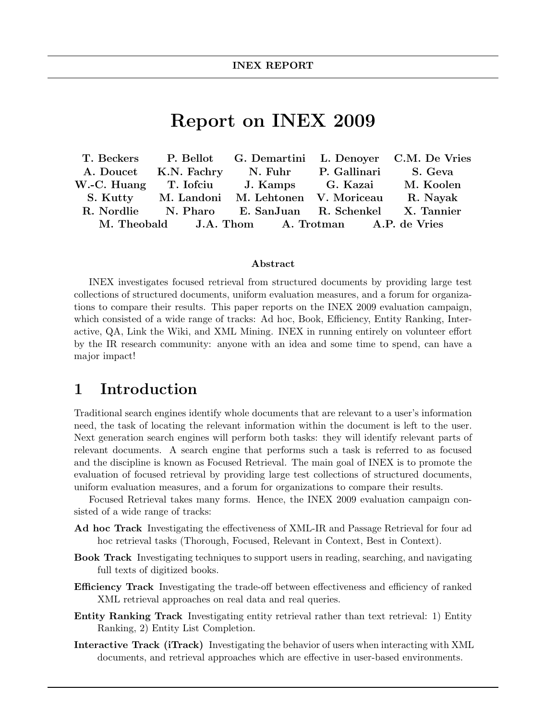# Report on INEX 2009

|  |                                                       | T. Beckers P. Bellot G. Demartini L. Denoyer C.M. De Vries |
|--|-------------------------------------------------------|------------------------------------------------------------|
|  | A. Doucet K.N. Fachry N. Fuhr P. Gallinari S. Geva    |                                                            |
|  | W.-C. Huang T. Iofciu J. Kamps G. Kazai               | M. Koolen                                                  |
|  | S. Kutty M. Landoni M. Lehtonen V. Moriceau           | R. Nayak                                                   |
|  | R. Nordlie N. Pharo E. SanJuan R. Schenkel X. Tannier |                                                            |
|  | M. Theobald J.A. Thom A. Trotman A.P. de Vries        |                                                            |

#### Abstract

INEX investigates focused retrieval from structured documents by providing large test collections of structured documents, uniform evaluation measures, and a forum for organizations to compare their results. This paper reports on the INEX 2009 evaluation campaign, which consisted of a wide range of tracks: Ad hoc, Book, Efficiency, Entity Ranking, Interactive, QA, Link the Wiki, and XML Mining. INEX in running entirely on volunteer effort by the IR research community: anyone with an idea and some time to spend, can have a major impact!

## 1 Introduction

Traditional search engines identify whole documents that are relevant to a user's information need, the task of locating the relevant information within the document is left to the user. Next generation search engines will perform both tasks: they will identify relevant parts of relevant documents. A search engine that performs such a task is referred to as focused and the discipline is known as Focused Retrieval. The main goal of INEX is to promote the evaluation of focused retrieval by providing large test collections of structured documents, uniform evaluation measures, and a forum for organizations to compare their results.

Focused Retrieval takes many forms. Hence, the INEX 2009 evaluation campaign consisted of a wide range of tracks:

- Ad hoc Track Investigating the effectiveness of XML-IR and Passage Retrieval for four ad hoc retrieval tasks (Thorough, Focused, Relevant in Context, Best in Context).
- Book Track Investigating techniques to support users in reading, searching, and navigating full texts of digitized books.
- Efficiency Track Investigating the trade-off between effectiveness and efficiency of ranked XML retrieval approaches on real data and real queries.
- Entity Ranking Track Investigating entity retrieval rather than text retrieval: 1) Entity Ranking, 2) Entity List Completion.
- Interactive Track (iTrack) Investigating the behavior of users when interacting with XML documents, and retrieval approaches which are effective in user-based environments.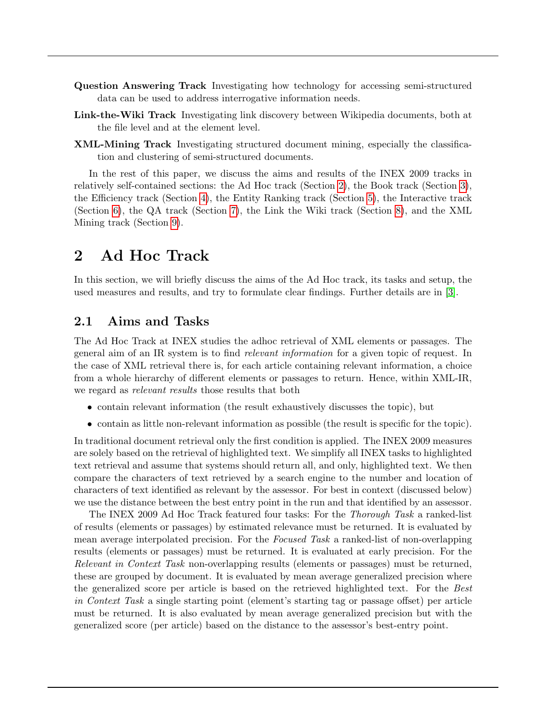- Question Answering Track Investigating how technology for accessing semi-structured data can be used to address interrogative information needs.
- Link-the-Wiki Track Investigating link discovery between Wikipedia documents, both at the file level and at the element level.
- XML-Mining Track Investigating structured document mining, especially the classification and clustering of semi-structured documents.

In the rest of this paper, we discuss the aims and results of the INEX 2009 tracks in relatively self-contained sections: the Ad Hoc track (Section [2\)](#page-1-0), the Book track (Section [3\)](#page-3-0), the Efficiency track (Section [4\)](#page-6-0), the Entity Ranking track (Section [5\)](#page-7-0), the Interactive track (Section [6\)](#page-9-0), the QA track (Section [7\)](#page-11-0), the Link the Wiki track (Section [8\)](#page-13-0), and the XML Mining track (Section [9\)](#page-15-0).

# <span id="page-1-0"></span>2 Ad Hoc Track

In this section, we will briefly discuss the aims of the Ad Hoc track, its tasks and setup, the used measures and results, and try to formulate clear findings. Further details are in [\[3\]](#page-17-0).

### 2.1 Aims and Tasks

The Ad Hoc Track at INEX studies the adhoc retrieval of XML elements or passages. The general aim of an IR system is to find relevant information for a given topic of request. In the case of XML retrieval there is, for each article containing relevant information, a choice from a whole hierarchy of different elements or passages to return. Hence, within XML-IR, we regard as *relevant results* those results that both

- contain relevant information (the result exhaustively discusses the topic), but
- contain as little non-relevant information as possible (the result is specific for the topic).

In traditional document retrieval only the first condition is applied. The INEX 2009 measures are solely based on the retrieval of highlighted text. We simplify all INEX tasks to highlighted text retrieval and assume that systems should return all, and only, highlighted text. We then compare the characters of text retrieved by a search engine to the number and location of characters of text identified as relevant by the assessor. For best in context (discussed below) we use the distance between the best entry point in the run and that identified by an assessor.

The INEX 2009 Ad Hoc Track featured four tasks: For the Thorough Task a ranked-list of results (elements or passages) by estimated relevance must be returned. It is evaluated by mean average interpolated precision. For the *Focused Task* a ranked-list of non-overlapping results (elements or passages) must be returned. It is evaluated at early precision. For the Relevant in Context Task non-overlapping results (elements or passages) must be returned, these are grouped by document. It is evaluated by mean average generalized precision where the generalized score per article is based on the retrieved highlighted text. For the Best in Context Task a single starting point (element's starting tag or passage offset) per article must be returned. It is also evaluated by mean average generalized precision but with the generalized score (per article) based on the distance to the assessor's best-entry point.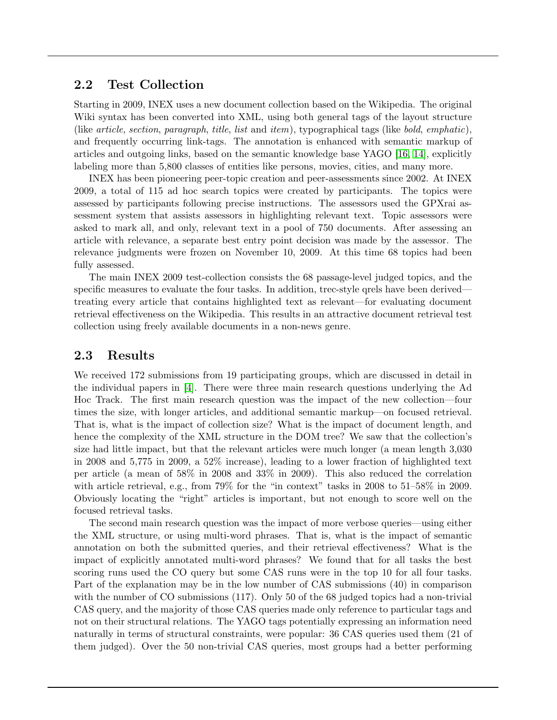### 2.2 Test Collection

Starting in 2009, INEX uses a new document collection based on the Wikipedia. The original Wiki syntax has been converted into XML, using both general tags of the layout structure (like article, section, paragraph, title, list and item), typographical tags (like bold, emphatic), and frequently occurring link-tags. The annotation is enhanced with semantic markup of articles and outgoing links, based on the semantic knowledge base YAGO [\[16,](#page-18-0) [14\]](#page-18-1), explicitly labeling more than 5,800 classes of entities like persons, movies, cities, and many more.

INEX has been pioneering peer-topic creation and peer-assessments since 2002. At INEX 2009, a total of 115 ad hoc search topics were created by participants. The topics were assessed by participants following precise instructions. The assessors used the GPXrai assessment system that assists assessors in highlighting relevant text. Topic assessors were asked to mark all, and only, relevant text in a pool of 750 documents. After assessing an article with relevance, a separate best entry point decision was made by the assessor. The relevance judgments were frozen on November 10, 2009. At this time 68 topics had been fully assessed.

The main INEX 2009 test-collection consists the 68 passage-level judged topics, and the specific measures to evaluate the four tasks. In addition, trec-style grels have been derived treating every article that contains highlighted text as relevant—for evaluating document retrieval effectiveness on the Wikipedia. This results in an attractive document retrieval test collection using freely available documents in a non-news genre.

### 2.3 Results

We received 172 submissions from 19 participating groups, which are discussed in detail in the individual papers in [\[4\]](#page-17-1). There were three main research questions underlying the Ad Hoc Track. The first main research question was the impact of the new collection—four times the size, with longer articles, and additional semantic markup—on focused retrieval. That is, what is the impact of collection size? What is the impact of document length, and hence the complexity of the XML structure in the DOM tree? We saw that the collection's size had little impact, but that the relevant articles were much longer (a mean length 3,030 in 2008 and 5,775 in 2009, a 52% increase), leading to a lower fraction of highlighted text per article (a mean of 58% in 2008 and 33% in 2009). This also reduced the correlation with article retrieval, e.g., from 79% for the "in context" tasks in 2008 to 51–58% in 2009. Obviously locating the "right" articles is important, but not enough to score well on the focused retrieval tasks.

The second main research question was the impact of more verbose queries—using either the XML structure, or using multi-word phrases. That is, what is the impact of semantic annotation on both the submitted queries, and their retrieval effectiveness? What is the impact of explicitly annotated multi-word phrases? We found that for all tasks the best scoring runs used the CO query but some CAS runs were in the top 10 for all four tasks. Part of the explanation may be in the low number of CAS submissions (40) in comparison with the number of CO submissions (117). Only 50 of the 68 judged topics had a non-trivial CAS query, and the majority of those CAS queries made only reference to particular tags and not on their structural relations. The YAGO tags potentially expressing an information need naturally in terms of structural constraints, were popular: 36 CAS queries used them (21 of them judged). Over the 50 non-trivial CAS queries, most groups had a better performing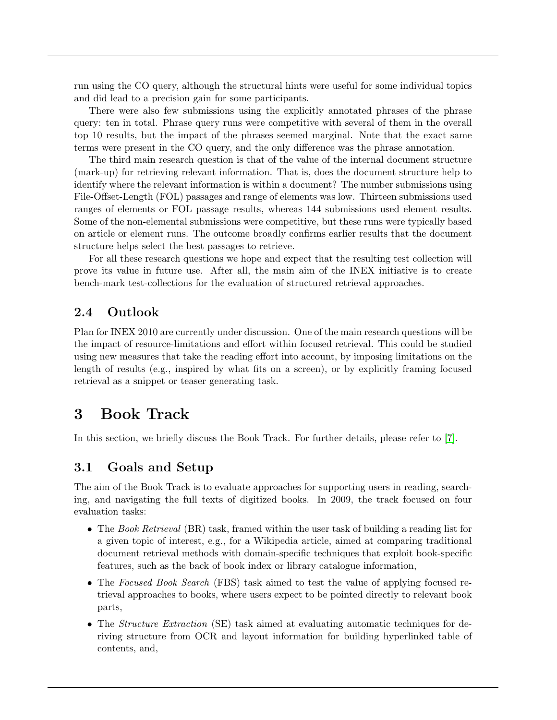run using the CO query, although the structural hints were useful for some individual topics and did lead to a precision gain for some participants.

There were also few submissions using the explicitly annotated phrases of the phrase query: ten in total. Phrase query runs were competitive with several of them in the overall top 10 results, but the impact of the phrases seemed marginal. Note that the exact same terms were present in the CO query, and the only difference was the phrase annotation.

The third main research question is that of the value of the internal document structure (mark-up) for retrieving relevant information. That is, does the document structure help to identify where the relevant information is within a document? The number submissions using File-Offset-Length (FOL) passages and range of elements was low. Thirteen submissions used ranges of elements or FOL passage results, whereas 144 submissions used element results. Some of the non-elemental submissions were competitive, but these runs were typically based on article or element runs. The outcome broadly confirms earlier results that the document structure helps select the best passages to retrieve.

For all these research questions we hope and expect that the resulting test collection will prove its value in future use. After all, the main aim of the INEX initiative is to create bench-mark test-collections for the evaluation of structured retrieval approaches.

### 2.4 Outlook

Plan for INEX 2010 are currently under discussion. One of the main research questions will be the impact of resource-limitations and effort within focused retrieval. This could be studied using new measures that take the reading effort into account, by imposing limitations on the length of results (e.g., inspired by what fits on a screen), or by explicitly framing focused retrieval as a snippet or teaser generating task.

## <span id="page-3-0"></span>3 Book Track

In this section, we briefly discuss the Book Track. For further details, please refer to [\[7\]](#page-17-2).

### 3.1 Goals and Setup

The aim of the Book Track is to evaluate approaches for supporting users in reading, searching, and navigating the full texts of digitized books. In 2009, the track focused on four evaluation tasks:

- The Book Retrieval (BR) task, framed within the user task of building a reading list for a given topic of interest, e.g., for a Wikipedia article, aimed at comparing traditional document retrieval methods with domain-specific techniques that exploit book-specific features, such as the back of book index or library catalogue information,
- The Focused Book Search (FBS) task aimed to test the value of applying focused retrieval approaches to books, where users expect to be pointed directly to relevant book parts,
- The *Structure Extraction* (SE) task aimed at evaluating automatic techniques for deriving structure from OCR and layout information for building hyperlinked table of contents, and,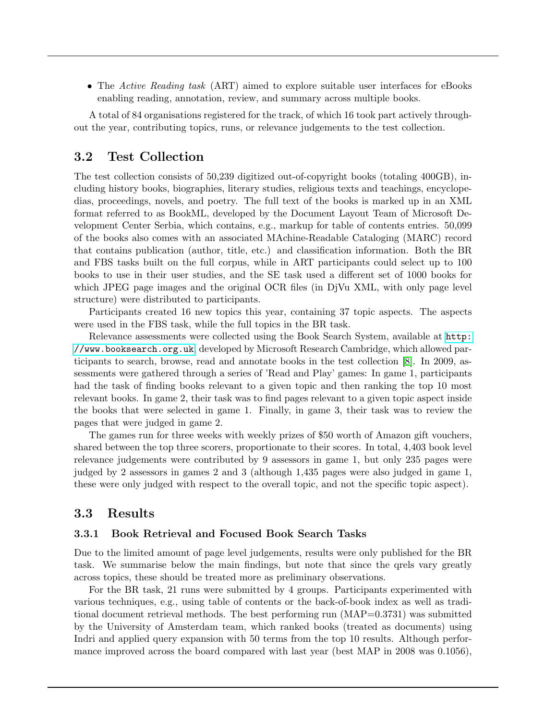• The Active Reading task (ART) aimed to explore suitable user interfaces for eBooks enabling reading, annotation, review, and summary across multiple books.

A total of 84 organisations registered for the track, of which 16 took part actively throughout the year, contributing topics, runs, or relevance judgements to the test collection.

### 3.2 Test Collection

The test collection consists of 50,239 digitized out-of-copyright books (totaling 400GB), including history books, biographies, literary studies, religious texts and teachings, encyclopedias, proceedings, novels, and poetry. The full text of the books is marked up in an XML format referred to as BookML, developed by the Document Layout Team of Microsoft Development Center Serbia, which contains, e.g., markup for table of contents entries. 50,099 of the books also comes with an associated MAchine-Readable Cataloging (MARC) record that contains publication (author, title, etc.) and classification information. Both the BR and FBS tasks built on the full corpus, while in ART participants could select up to 100 books to use in their user studies, and the SE task used a different set of 1000 books for which JPEG page images and the original OCR files (in DjVu XML, with only page level structure) were distributed to participants.

Participants created 16 new topics this year, containing 37 topic aspects. The aspects were used in the FBS task, while the full topics in the BR task.

Relevance assessments were collected using the Book Search System, available at [http:](http://www.booksearch.org.uk) [//www.booksearch.org.uk](http://www.booksearch.org.uk), developed by Microsoft Research Cambridge, which allowed participants to search, browse, read and annotate books in the test collection [\[8\]](#page-17-3). In 2009, assessments were gathered through a series of 'Read and Play' games: In game 1, participants had the task of finding books relevant to a given topic and then ranking the top 10 most relevant books. In game 2, their task was to find pages relevant to a given topic aspect inside the books that were selected in game 1. Finally, in game 3, their task was to review the pages that were judged in game 2.

The games run for three weeks with weekly prizes of \$50 worth of Amazon gift vouchers, shared between the top three scorers, proportionate to their scores. In total, 4,403 book level relevance judgements were contributed by 9 assessors in game 1, but only 235 pages were judged by 2 assessors in games 2 and 3 (although 1,435 pages were also judged in game 1, these were only judged with respect to the overall topic, and not the specific topic aspect).

#### 3.3 Results

#### 3.3.1 Book Retrieval and Focused Book Search Tasks

Due to the limited amount of page level judgements, results were only published for the BR task. We summarise below the main findings, but note that since the qrels vary greatly across topics, these should be treated more as preliminary observations.

For the BR task, 21 runs were submitted by 4 groups. Participants experimented with various techniques, e.g., using table of contents or the back-of-book index as well as traditional document retrieval methods. The best performing run (MAP=0.3731) was submitted by the University of Amsterdam team, which ranked books (treated as documents) using Indri and applied query expansion with 50 terms from the top 10 results. Although performance improved across the board compared with last year (best MAP in 2008 was 0.1056),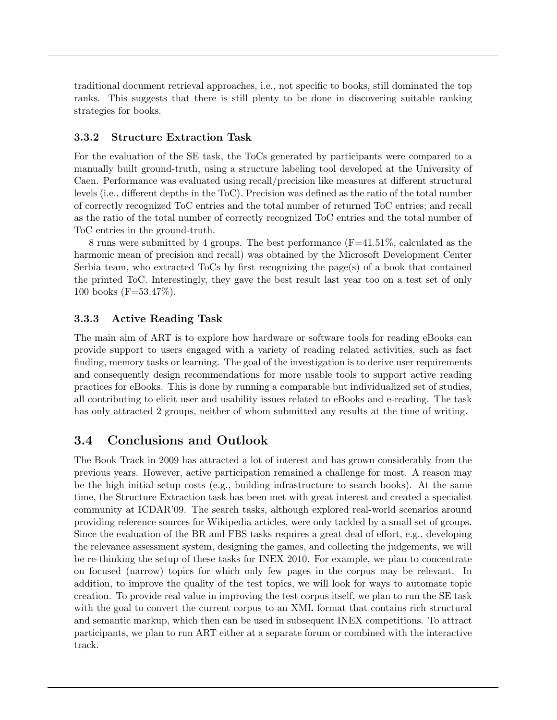traditional document retrieval approaches, i.e., not specific to books, still dominated the top ranks. This suggests that there is still plenty to be done in discovering suitable ranking strategies for books.

#### 3.3.2 Structure Extraction Task

For the evaluation of the SE task, the ToCs generated by participants were compared to a manually built ground-truth, using a structure labeling tool developed at the University of Caen. Performance was evaluated using recall/precision like measures at different structural levels (i.e., different depths in the ToC). Precision was defined as the ratio of the total number of correctly recognized ToC entries and the total number of returned ToC entries; and recall as the ratio of the total number of correctly recognized ToC entries and the total number of ToC entries in the ground-truth.

8 runs were submitted by 4 groups. The best performance (F=41.51%, calculated as the harmonic mean of precision and recall) was obtained by the Microsoft Development Center Serbia team, who extracted ToCs by first recognizing the page(s) of a book that contained the printed ToC. Interestingly, they gave the best result last year too on a test set of only 100 books (F=53.47%).

#### 3.3.3 Active Reading Task

The main aim of ART is to explore how hardware or software tools for reading eBooks can provide support to users engaged with a variety of reading related activities, such as fact finding, memory tasks or learning. The goal of the investigation is to derive user requirements and consequently design recommendations for more usable tools to support active reading practices for eBooks. This is done by running a comparable but individualized set of studies, all contributing to elicit user and usability issues related to eBooks and e-reading. The task has only attracted 2 groups, neither of whom submitted any results at the time of writing.

### 3.4 Conclusions and Outlook

The Book Track in 2009 has attracted a lot of interest and has grown considerably from the previous years. However, active participation remained a challenge for most. A reason may be the high initial setup costs (e.g., building infrastructure to search books). At the same time, the Structure Extraction task has been met with great interest and created a specialist community at ICDAR'09. The search tasks, although explored real-world scenarios around providing reference sources for Wikipedia articles, were only tackled by a small set of groups. Since the evaluation of the BR and FBS tasks requires a great deal of effort, e.g., developing the relevance assessment system, designing the games, and collecting the judgements, we will be re-thinking the setup of these tasks for INEX 2010. For example, we plan to concentrate on focused (narrow) topics for which only few pages in the corpus may be relevant. In addition, to improve the quality of the test topics, we will look for ways to automate topic creation. To provide real value in improving the test corpus itself, we plan to run the SE task with the goal to convert the current corpus to an XML format that contains rich structural and semantic markup, which then can be used in subsequent INEX competitions. To attract participants, we plan to run ART either at a separate forum or combined with the interactive track.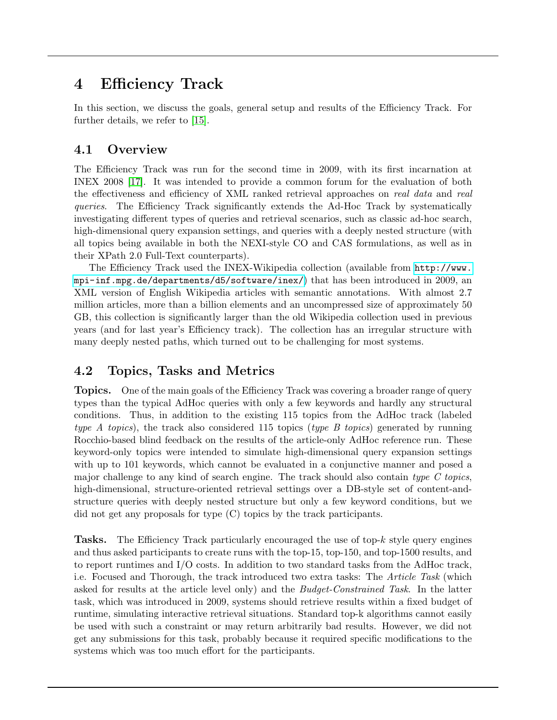## <span id="page-6-0"></span>4 Efficiency Track

In this section, we discuss the goals, general setup and results of the Efficiency Track. For further details, we refer to [\[15\]](#page-18-2).

### 4.1 Overview

The Efficiency Track was run for the second time in 2009, with its first incarnation at INEX 2008 [\[17\]](#page-18-3). It was intended to provide a common forum for the evaluation of both the effectiveness and efficiency of XML ranked retrieval approaches on *real data* and *real* queries. The Efficiency Track significantly extends the Ad-Hoc Track by systematically investigating different types of queries and retrieval scenarios, such as classic ad-hoc search, high-dimensional query expansion settings, and queries with a deeply nested structure (with all topics being available in both the NEXI-style CO and CAS formulations, as well as in their XPath 2.0 Full-Text counterparts).

The Efficiency Track used the INEX-Wikipedia collection (available from [http://www.](http://www.mpi-inf.mpg.de/departments/d5/software/inex/) [mpi-inf.mpg.de/departments/d5/software/inex/](http://www.mpi-inf.mpg.de/departments/d5/software/inex/)) that has been introduced in 2009, an XML version of English Wikipedia articles with semantic annotations. With almost 2.7 million articles, more than a billion elements and an uncompressed size of approximately 50 GB, this collection is significantly larger than the old Wikipedia collection used in previous years (and for last year's Efficiency track). The collection has an irregular structure with many deeply nested paths, which turned out to be challenging for most systems.

### 4.2 Topics, Tasks and Metrics

**Topics.** One of the main goals of the Efficiency Track was covering a broader range of query types than the typical AdHoc queries with only a few keywords and hardly any structural conditions. Thus, in addition to the existing 115 topics from the AdHoc track (labeled type A topics), the track also considered 115 topics (type B topics) generated by running Rocchio-based blind feedback on the results of the article-only AdHoc reference run. These keyword-only topics were intended to simulate high-dimensional query expansion settings with up to 101 keywords, which cannot be evaluated in a conjunctive manner and posed a major challenge to any kind of search engine. The track should also contain type  $C$  topics, high-dimensional, structure-oriented retrieval settings over a DB-style set of content-andstructure queries with deeply nested structure but only a few keyword conditions, but we did not get any proposals for type (C) topics by the track participants.

**Tasks.** The Efficiency Track particularly encouraged the use of top- $k$  style query engines and thus asked participants to create runs with the top-15, top-150, and top-1500 results, and to report runtimes and I/O costs. In addition to two standard tasks from the AdHoc track, i.e. Focused and Thorough, the track introduced two extra tasks: The Article Task (which asked for results at the article level only) and the *Budget-Constrained Task*. In the latter task, which was introduced in 2009, systems should retrieve results within a fixed budget of runtime, simulating interactive retrieval situations. Standard top-k algorithms cannot easily be used with such a constraint or may return arbitrarily bad results. However, we did not get any submissions for this task, probably because it required specific modifications to the systems which was too much effort for the participants.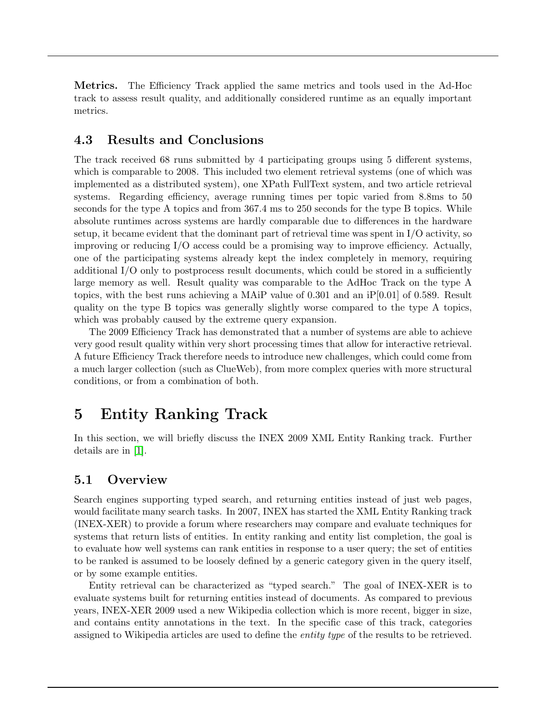Metrics. The Efficiency Track applied the same metrics and tools used in the Ad-Hoc track to assess result quality, and additionally considered runtime as an equally important metrics.

### 4.3 Results and Conclusions

The track received 68 runs submitted by 4 participating groups using 5 different systems, which is comparable to 2008. This included two element retrieval systems (one of which was implemented as a distributed system), one XPath FullText system, and two article retrieval systems. Regarding efficiency, average running times per topic varied from 8.8ms to 50 seconds for the type A topics and from 367.4 ms to 250 seconds for the type B topics. While absolute runtimes across systems are hardly comparable due to differences in the hardware setup, it became evident that the dominant part of retrieval time was spent in  $I/O$  activity, so improving or reducing I/O access could be a promising way to improve efficiency. Actually, one of the participating systems already kept the index completely in memory, requiring additional I/O only to postprocess result documents, which could be stored in a sufficiently large memory as well. Result quality was comparable to the AdHoc Track on the type A topics, with the best runs achieving a MAiP value of 0.301 and an iP[0.01] of 0.589. Result quality on the type B topics was generally slightly worse compared to the type A topics, which was probably caused by the extreme query expansion.

The 2009 Efficiency Track has demonstrated that a number of systems are able to achieve very good result quality within very short processing times that allow for interactive retrieval. A future Efficiency Track therefore needs to introduce new challenges, which could come from a much larger collection (such as ClueWeb), from more complex queries with more structural conditions, or from a combination of both.

## <span id="page-7-0"></span>5 Entity Ranking Track

In this section, we will briefly discuss the INEX 2009 XML Entity Ranking track. Further details are in [\[1\]](#page-17-4).

### 5.1 Overview

Search engines supporting typed search, and returning entities instead of just web pages, would facilitate many search tasks. In 2007, INEX has started the XML Entity Ranking track (INEX-XER) to provide a forum where researchers may compare and evaluate techniques for systems that return lists of entities. In entity ranking and entity list completion, the goal is to evaluate how well systems can rank entities in response to a user query; the set of entities to be ranked is assumed to be loosely defined by a generic category given in the query itself, or by some example entities.

Entity retrieval can be characterized as "typed search." The goal of INEX-XER is to evaluate systems built for returning entities instead of documents. As compared to previous years, INEX-XER 2009 used a new Wikipedia collection which is more recent, bigger in size, and contains entity annotations in the text. In the specific case of this track, categories assigned to Wikipedia articles are used to define the *entity type* of the results to be retrieved.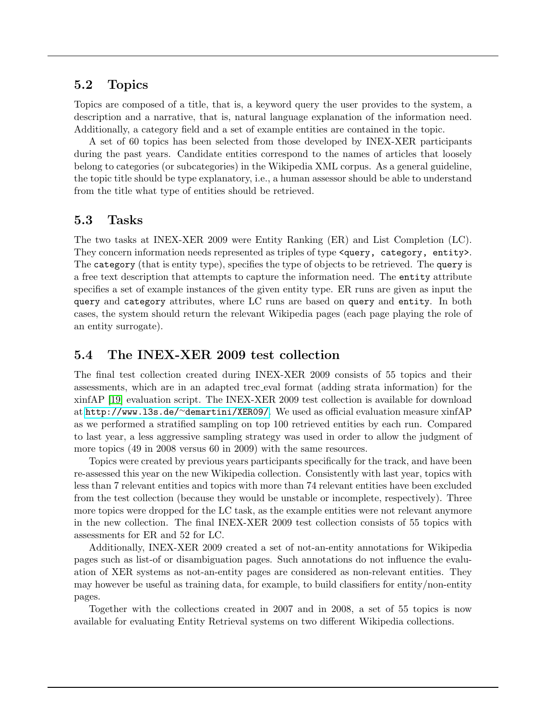### 5.2 Topics

Topics are composed of a title, that is, a keyword query the user provides to the system, a description and a narrative, that is, natural language explanation of the information need. Additionally, a category field and a set of example entities are contained in the topic.

A set of 60 topics has been selected from those developed by INEX-XER participants during the past years. Candidate entities correspond to the names of articles that loosely belong to categories (or subcategories) in the Wikipedia XML corpus. As a general guideline, the topic title should be type explanatory, i.e., a human assessor should be able to understand from the title what type of entities should be retrieved.

### 5.3 Tasks

The two tasks at INEX-XER 2009 were Entity Ranking (ER) and List Completion (LC). They concern information needs represented as triples of type <query, category, entity>. The category (that is entity type), specifies the type of objects to be retrieved. The query is a free text description that attempts to capture the information need. The entity attribute specifies a set of example instances of the given entity type. ER runs are given as input the query and category attributes, where LC runs are based on query and entity. In both cases, the system should return the relevant Wikipedia pages (each page playing the role of an entity surrogate).

#### 5.4 The INEX-XER 2009 test collection

The final test collection created during INEX-XER 2009 consists of 55 topics and their assessments, which are in an adapted trec eval format (adding strata information) for the xinfAP [\[19\]](#page-18-4) evaluation script. The INEX-XER 2009 test collection is available for download at [http://www.l3s.de/](http://www.l3s.de/~demartini/XER09/)∼demartini/XER09/. We used as official evaluation measure xinfAP as we performed a stratified sampling on top 100 retrieved entities by each run. Compared to last year, a less aggressive sampling strategy was used in order to allow the judgment of more topics (49 in 2008 versus 60 in 2009) with the same resources.

Topics were created by previous years participants specifically for the track, and have been re-assessed this year on the new Wikipedia collection. Consistently with last year, topics with less than 7 relevant entities and topics with more than 74 relevant entities have been excluded from the test collection (because they would be unstable or incomplete, respectively). Three more topics were dropped for the LC task, as the example entities were not relevant anymore in the new collection. The final INEX-XER 2009 test collection consists of 55 topics with assessments for ER and 52 for LC.

Additionally, INEX-XER 2009 created a set of not-an-entity annotations for Wikipedia pages such as list-of or disambiguation pages. Such annotations do not influence the evaluation of XER systems as not-an-entity pages are considered as non-relevant entities. They may however be useful as training data, for example, to build classifiers for entity/non-entity pages.

Together with the collections created in 2007 and in 2008, a set of 55 topics is now available for evaluating Entity Retrieval systems on two different Wikipedia collections.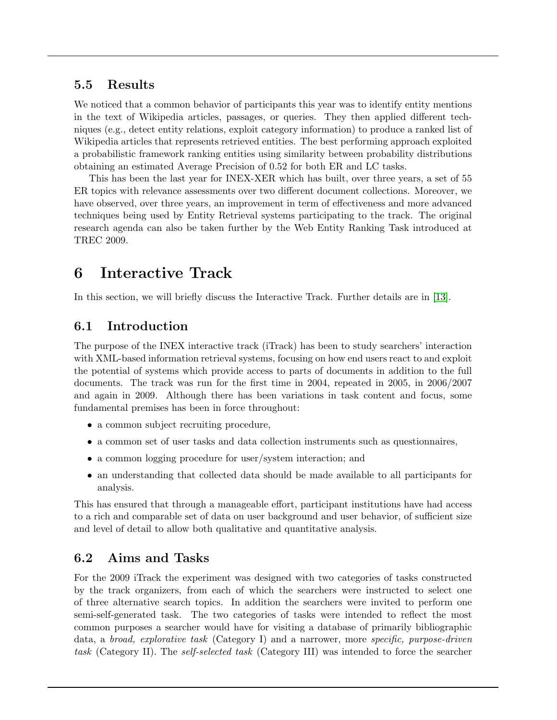### 5.5 Results

We noticed that a common behavior of participants this year was to identify entity mentions in the text of Wikipedia articles, passages, or queries. They then applied different techniques (e.g., detect entity relations, exploit category information) to produce a ranked list of Wikipedia articles that represents retrieved entities. The best performing approach exploited a probabilistic framework ranking entities using similarity between probability distributions obtaining an estimated Average Precision of 0.52 for both ER and LC tasks.

This has been the last year for INEX-XER which has built, over three years, a set of 55 ER topics with relevance assessments over two different document collections. Moreover, we have observed, over three years, an improvement in term of effectiveness and more advanced techniques being used by Entity Retrieval systems participating to the track. The original research agenda can also be taken further by the Web Entity Ranking Task introduced at TREC 2009.

# <span id="page-9-0"></span>6 Interactive Track

In this section, we will briefly discuss the Interactive Track. Further details are in [\[13\]](#page-18-5).

## 6.1 Introduction

The purpose of the INEX interactive track (iTrack) has been to study searchers' interaction with XML-based information retrieval systems, focusing on how end users react to and exploit the potential of systems which provide access to parts of documents in addition to the full documents. The track was run for the first time in 2004, repeated in 2005, in 2006/2007 and again in 2009. Although there has been variations in task content and focus, some fundamental premises has been in force throughout:

- a common subject recruiting procedure,
- a common set of user tasks and data collection instruments such as questionnaires,
- a common logging procedure for user/system interaction; and
- an understanding that collected data should be made available to all participants for analysis.

This has ensured that through a manageable effort, participant institutions have had access to a rich and comparable set of data on user background and user behavior, of sufficient size and level of detail to allow both qualitative and quantitative analysis.

### 6.2 Aims and Tasks

For the 2009 iTrack the experiment was designed with two categories of tasks constructed by the track organizers, from each of which the searchers were instructed to select one of three alternative search topics. In addition the searchers were invited to perform one semi-self-generated task. The two categories of tasks were intended to reflect the most common purposes a searcher would have for visiting a database of primarily bibliographic data, a broad, explorative task (Category I) and a narrower, more specific, purpose-driven task (Category II). The self-selected task (Category III) was intended to force the searcher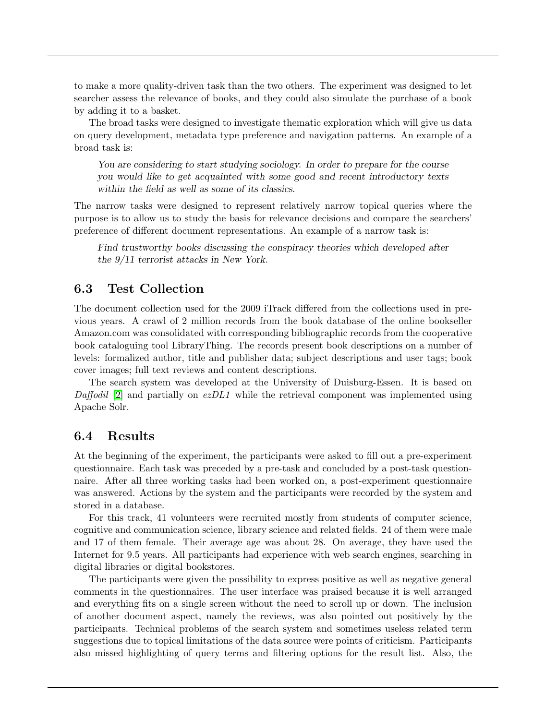to make a more quality-driven task than the two others. The experiment was designed to let searcher assess the relevance of books, and they could also simulate the purchase of a book by adding it to a basket.

The broad tasks were designed to investigate thematic exploration which will give us data on query development, metadata type preference and navigation patterns. An example of a broad task is:

You are considering to start studying sociology. In order to prepare for the course you would like to get acquainted with some good and recent introductory texts within the field as well as some of its classics.

The narrow tasks were designed to represent relatively narrow topical queries where the purpose is to allow us to study the basis for relevance decisions and compare the searchers' preference of different document representations. An example of a narrow task is:

Find trustworthy books discussing the conspiracy theories which developed after the 9/11 terrorist attacks in New York.

#### 6.3 Test Collection

The document collection used for the 2009 iTrack differed from the collections used in previous years. A crawl of 2 million records from the book database of the online bookseller Amazon.com was consolidated with corresponding bibliographic records from the cooperative book cataloguing tool LibraryThing. The records present book descriptions on a number of levels: formalized author, title and publisher data; subject descriptions and user tags; book cover images; full text reviews and content descriptions.

The search system was developed at the University of Duisburg-Essen. It is based on Daffodil [\[2\]](#page-17-5) and partially on  $ezDL1$  while the retrieval component was implemented using Apache Solr.

#### 6.4 Results

At the beginning of the experiment, the participants were asked to fill out a pre-experiment questionnaire. Each task was preceded by a pre-task and concluded by a post-task questionnaire. After all three working tasks had been worked on, a post-experiment questionnaire was answered. Actions by the system and the participants were recorded by the system and stored in a database.

For this track, 41 volunteers were recruited mostly from students of computer science, cognitive and communication science, library science and related fields. 24 of them were male and 17 of them female. Their average age was about 28. On average, they have used the Internet for 9.5 years. All participants had experience with web search engines, searching in digital libraries or digital bookstores.

The participants were given the possibility to express positive as well as negative general comments in the questionnaires. The user interface was praised because it is well arranged and everything fits on a single screen without the need to scroll up or down. The inclusion of another document aspect, namely the reviews, was also pointed out positively by the participants. Technical problems of the search system and sometimes useless related term suggestions due to topical limitations of the data source were points of criticism. Participants also missed highlighting of query terms and filtering options for the result list. Also, the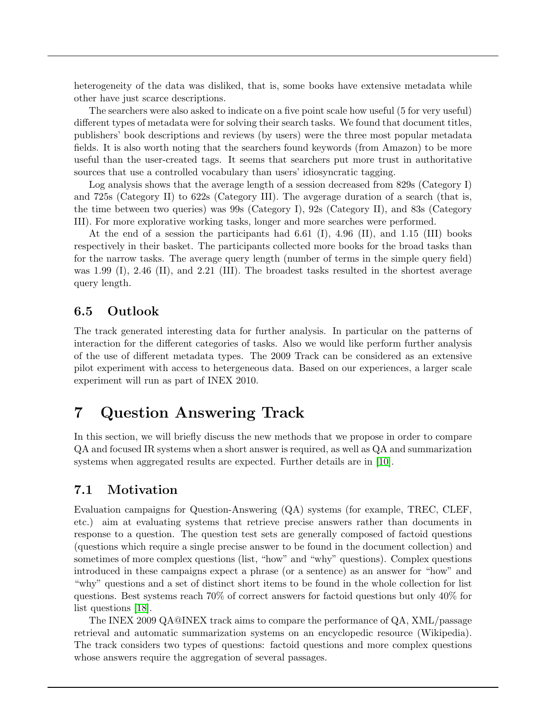heterogeneity of the data was disliked, that is, some books have extensive metadata while other have just scarce descriptions.

The searchers were also asked to indicate on a five point scale how useful (5 for very useful) different types of metadata were for solving their search tasks. We found that document titles, publishers' book descriptions and reviews (by users) were the three most popular metadata fields. It is also worth noting that the searchers found keywords (from Amazon) to be more useful than the user-created tags. It seems that searchers put more trust in authoritative sources that use a controlled vocabulary than users' idiosyncratic tagging.

Log analysis shows that the average length of a session decreased from 829s (Category I) and 725s (Category II) to 622s (Category III). The avgerage duration of a search (that is, the time between two queries) was 99s (Category I), 92s (Category II), and 83s (Category III). For more explorative working tasks, longer and more searches were performed.

At the end of a session the participants had 6.61 (I), 4.96 (II), and 1.15 (III) books respectively in their basket. The participants collected more books for the broad tasks than for the narrow tasks. The average query length (number of terms in the simple query field) was 1.99 (I), 2.46 (II), and 2.21 (III). The broadest tasks resulted in the shortest average query length.

### 6.5 Outlook

The track generated interesting data for further analysis. In particular on the patterns of interaction for the different categories of tasks. Also we would like perform further analysis of the use of different metadata types. The 2009 Track can be considered as an extensive pilot experiment with access to hetergeneous data. Based on our experiences, a larger scale experiment will run as part of INEX 2010.

# <span id="page-11-0"></span>7 Question Answering Track

In this section, we will briefly discuss the new methods that we propose in order to compare QA and focused IR systems when a short answer is required, as well as QA and summarization systems when aggregated results are expected. Further details are in [\[10\]](#page-18-6).

### 7.1 Motivation

Evaluation campaigns for Question-Answering (QA) systems (for example, TREC, CLEF, etc.) aim at evaluating systems that retrieve precise answers rather than documents in response to a question. The question test sets are generally composed of factoid questions (questions which require a single precise answer to be found in the document collection) and sometimes of more complex questions (list, "how" and "why" questions). Complex questions introduced in these campaigns expect a phrase (or a sentence) as an answer for "how" and "why" questions and a set of distinct short items to be found in the whole collection for list questions. Best systems reach 70% of correct answers for factoid questions but only 40% for list questions [\[18\]](#page-18-7).

The INEX 2009 QA@INEX track aims to compare the performance of QA, XML/passage retrieval and automatic summarization systems on an encyclopedic resource (Wikipedia). The track considers two types of questions: factoid questions and more complex questions whose answers require the aggregation of several passages.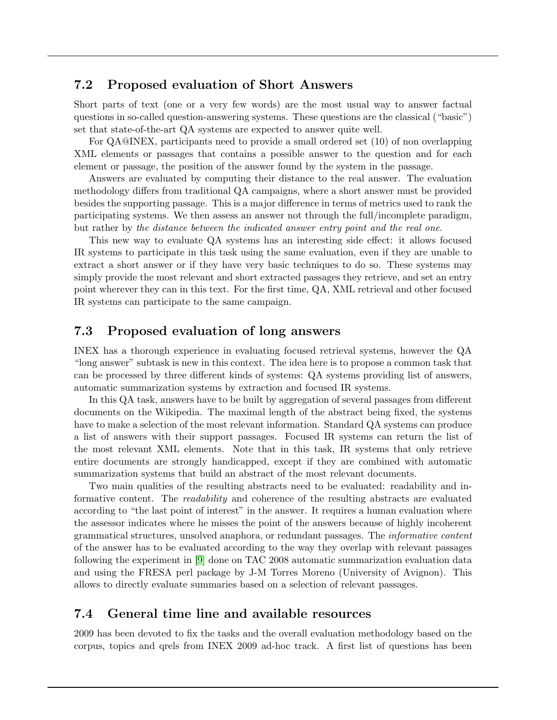### 7.2 Proposed evaluation of Short Answers

Short parts of text (one or a very few words) are the most usual way to answer factual questions in so-called question-answering systems. These questions are the classical ("basic") set that state-of-the-art QA systems are expected to answer quite well.

For QA@INEX, participants need to provide a small ordered set (10) of non overlapping XML elements or passages that contains a possible answer to the question and for each element or passage, the position of the answer found by the system in the passage.

Answers are evaluated by computing their distance to the real answer. The evaluation methodology differs from traditional QA campaigns, where a short answer must be provided besides the supporting passage. This is a major difference in terms of metrics used to rank the participating systems. We then assess an answer not through the full/incomplete paradigm, but rather by the distance between the indicated answer entry point and the real one.

This new way to evaluate QA systems has an interesting side effect: it allows focused IR systems to participate in this task using the same evaluation, even if they are unable to extract a short answer or if they have very basic techniques to do so. These systems may simply provide the most relevant and short extracted passages they retrieve, and set an entry point wherever they can in this text. For the first time, QA, XML retrieval and other focused IR systems can participate to the same campaign.

### 7.3 Proposed evaluation of long answers

INEX has a thorough experience in evaluating focused retrieval systems, however the QA "long answer" subtask is new in this context. The idea here is to propose a common task that can be processed by three different kinds of systems: QA systems providing list of answers, automatic summarization systems by extraction and focused IR systems.

In this QA task, answers have to be built by aggregation of several passages from different documents on the Wikipedia. The maximal length of the abstract being fixed, the systems have to make a selection of the most relevant information. Standard QA systems can produce a list of answers with their support passages. Focused IR systems can return the list of the most relevant XML elements. Note that in this task, IR systems that only retrieve entire documents are strongly handicapped, except if they are combined with automatic summarization systems that build an abstract of the most relevant documents.

Two main qualities of the resulting abstracts need to be evaluated: readability and informative content. The *readability* and coherence of the resulting abstracts are evaluated according to "the last point of interest" in the answer. It requires a human evaluation where the assessor indicates where he misses the point of the answers because of highly incoherent grammatical structures, unsolved anaphora, or redundant passages. The informative content of the answer has to be evaluated according to the way they overlap with relevant passages following the experiment in [\[9\]](#page-18-8) done on TAC 2008 automatic summarization evaluation data and using the FRESA perl package by J-M Torres Moreno (University of Avignon). This allows to directly evaluate summaries based on a selection of relevant passages.

#### 7.4 General time line and available resources

2009 has been devoted to fix the tasks and the overall evaluation methodology based on the corpus, topics and qrels from INEX 2009 ad-hoc track. A first list of questions has been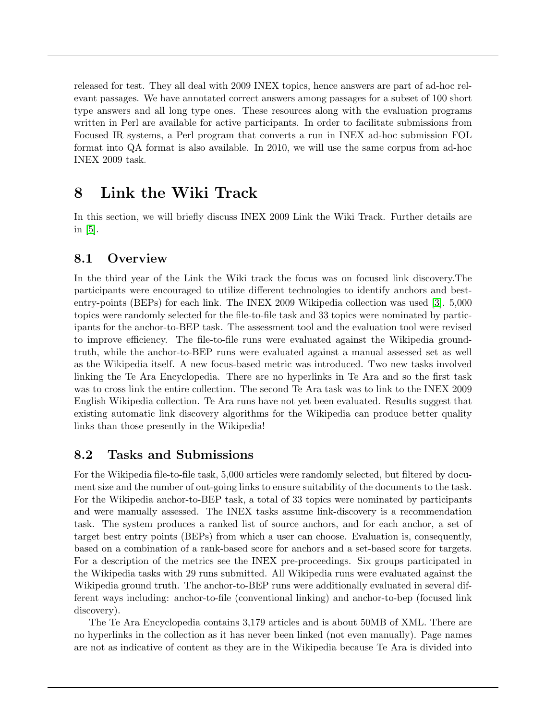released for test. They all deal with 2009 INEX topics, hence answers are part of ad-hoc relevant passages. We have annotated correct answers among passages for a subset of 100 short type answers and all long type ones. These resources along with the evaluation programs written in Perl are available for active participants. In order to facilitate submissions from Focused IR systems, a Perl program that converts a run in INEX ad-hoc submission FOL format into QA format is also available. In 2010, we will use the same corpus from ad-hoc INEX 2009 task.

# <span id="page-13-0"></span>8 Link the Wiki Track

In this section, we will briefly discuss INEX 2009 Link the Wiki Track. Further details are in  $|5|$ .

### 8.1 Overview

In the third year of the Link the Wiki track the focus was on focused link discovery.The participants were encouraged to utilize different technologies to identify anchors and bestentry-points (BEPs) for each link. The INEX 2009 Wikipedia collection was used [\[3\]](#page-17-0). 5,000 topics were randomly selected for the file-to-file task and 33 topics were nominated by participants for the anchor-to-BEP task. The assessment tool and the evaluation tool were revised to improve efficiency. The file-to-file runs were evaluated against the Wikipedia groundtruth, while the anchor-to-BEP runs were evaluated against a manual assessed set as well as the Wikipedia itself. A new focus-based metric was introduced. Two new tasks involved linking the Te Ara Encyclopedia. There are no hyperlinks in Te Ara and so the first task was to cross link the entire collection. The second Te Ara task was to link to the INEX 2009 English Wikipedia collection. Te Ara runs have not yet been evaluated. Results suggest that existing automatic link discovery algorithms for the Wikipedia can produce better quality links than those presently in the Wikipedia!

### 8.2 Tasks and Submissions

For the Wikipedia file-to-file task, 5,000 articles were randomly selected, but filtered by document size and the number of out-going links to ensure suitability of the documents to the task. For the Wikipedia anchor-to-BEP task, a total of 33 topics were nominated by participants and were manually assessed. The INEX tasks assume link-discovery is a recommendation task. The system produces a ranked list of source anchors, and for each anchor, a set of target best entry points (BEPs) from which a user can choose. Evaluation is, consequently, based on a combination of a rank-based score for anchors and a set-based score for targets. For a description of the metrics see the INEX pre-proceedings. Six groups participated in the Wikipedia tasks with 29 runs submitted. All Wikipedia runs were evaluated against the Wikipedia ground truth. The anchor-to-BEP runs were additionally evaluated in several different ways including: anchor-to-file (conventional linking) and anchor-to-bep (focused link discovery).

The Te Ara Encyclopedia contains 3,179 articles and is about 50MB of XML. There are no hyperlinks in the collection as it has never been linked (not even manually). Page names are not as indicative of content as they are in the Wikipedia because Te Ara is divided into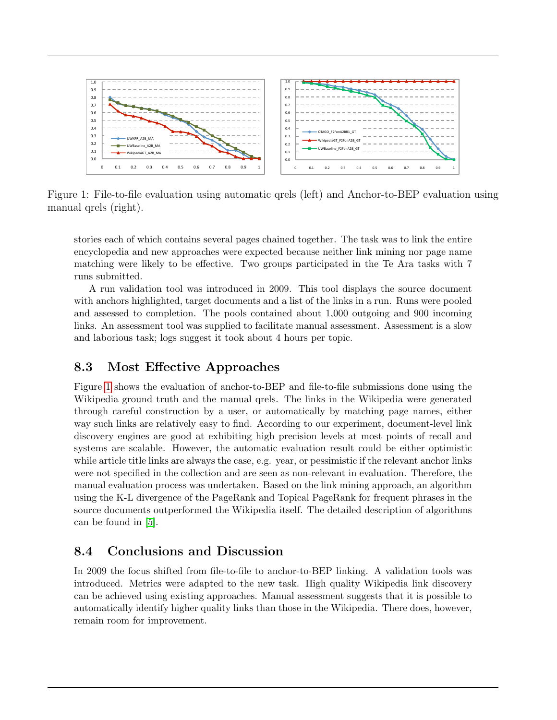

<span id="page-14-0"></span>Figure 1: File-to-file evaluation using automatic qrels (left) and Anchor-to-BEP evaluation using manual qrels (right).

stories each of which contains several pages chained together. The task was to link the entire encyclopedia and new approaches were expected because neither link mining nor page name matching were likely to be effective. Two groups participated in the Te Ara tasks with 7 runs submitted.

A run validation tool was introduced in 2009. This tool displays the source document with anchors highlighted, target documents and a list of the links in a run. Runs were pooled and assessed to completion. The pools contained about 1,000 outgoing and 900 incoming links. An assessment tool was supplied to facilitate manual assessment. Assessment is a slow and laborious task; logs suggest it took about 4 hours per topic.

### 8.3 Most Effective Approaches

Figure [1](#page-14-0) shows the evaluation of anchor-to-BEP and file-to-file submissions done using the Wikipedia ground truth and the manual qrels. The links in the Wikipedia were generated through careful construction by a user, or automatically by matching page names, either way such links are relatively easy to find. According to our experiment, document-level link discovery engines are good at exhibiting high precision levels at most points of recall and systems are scalable. However, the automatic evaluation result could be either optimistic while article title links are always the case, e.g. year, or pessimistic if the relevant anchor links were not specified in the collection and are seen as non-relevant in evaluation. Therefore, the manual evaluation process was undertaken. Based on the link mining approach, an algorithm using the K-L divergence of the PageRank and Topical PageRank for frequent phrases in the source documents outperformed the Wikipedia itself. The detailed description of algorithms can be found in [\[5\]](#page-17-6).

### 8.4 Conclusions and Discussion

In 2009 the focus shifted from file-to-file to anchor-to-BEP linking. A validation tools was introduced. Metrics were adapted to the new task. High quality Wikipedia link discovery can be achieved using existing approaches. Manual assessment suggests that it is possible to automatically identify higher quality links than those in the Wikipedia. There does, however, remain room for improvement.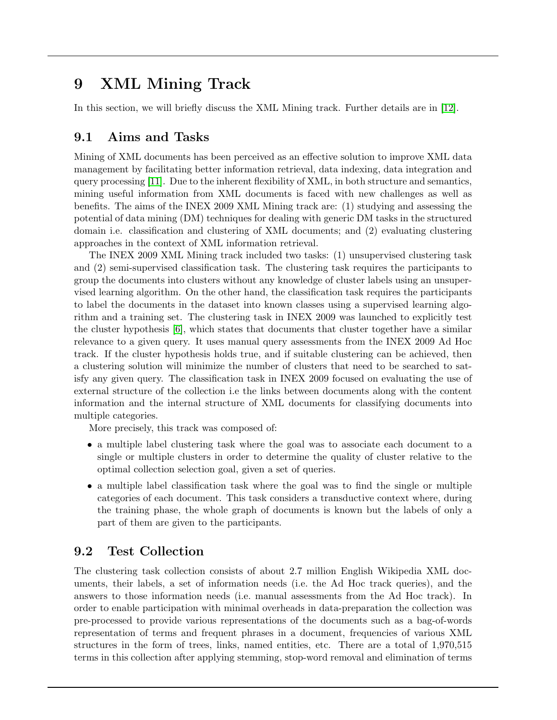# <span id="page-15-0"></span>9 XML Mining Track

In this section, we will briefly discuss the XML Mining track. Further details are in [\[12\]](#page-18-9).

### 9.1 Aims and Tasks

Mining of XML documents has been perceived as an effective solution to improve XML data management by facilitating better information retrieval, data indexing, data integration and query processing [\[11\]](#page-18-10). Due to the inherent flexibility of XML, in both structure and semantics, mining useful information from XML documents is faced with new challenges as well as benefits. The aims of the INEX 2009 XML Mining track are: (1) studying and assessing the potential of data mining (DM) techniques for dealing with generic DM tasks in the structured domain i.e. classification and clustering of XML documents; and (2) evaluating clustering approaches in the context of XML information retrieval.

The INEX 2009 XML Mining track included two tasks: (1) unsupervised clustering task and (2) semi-supervised classification task. The clustering task requires the participants to group the documents into clusters without any knowledge of cluster labels using an unsupervised learning algorithm. On the other hand, the classification task requires the participants to label the documents in the dataset into known classes using a supervised learning algorithm and a training set. The clustering task in INEX 2009 was launched to explicitly test the cluster hypothesis [\[6\]](#page-17-7), which states that documents that cluster together have a similar relevance to a given query. It uses manual query assessments from the INEX 2009 Ad Hoc track. If the cluster hypothesis holds true, and if suitable clustering can be achieved, then a clustering solution will minimize the number of clusters that need to be searched to satisfy any given query. The classification task in INEX 2009 focused on evaluating the use of external structure of the collection i.e the links between documents along with the content information and the internal structure of XML documents for classifying documents into multiple categories.

More precisely, this track was composed of:

- a multiple label clustering task where the goal was to associate each document to a single or multiple clusters in order to determine the quality of cluster relative to the optimal collection selection goal, given a set of queries.
- a multiple label classification task where the goal was to find the single or multiple categories of each document. This task considers a transductive context where, during the training phase, the whole graph of documents is known but the labels of only a part of them are given to the participants.

### 9.2 Test Collection

The clustering task collection consists of about 2.7 million English Wikipedia XML documents, their labels, a set of information needs (i.e. the Ad Hoc track queries), and the answers to those information needs (i.e. manual assessments from the Ad Hoc track). In order to enable participation with minimal overheads in data-preparation the collection was pre-processed to provide various representations of the documents such as a bag-of-words representation of terms and frequent phrases in a document, frequencies of various XML structures in the form of trees, links, named entities, etc. There are a total of 1,970,515 terms in this collection after applying stemming, stop-word removal and elimination of terms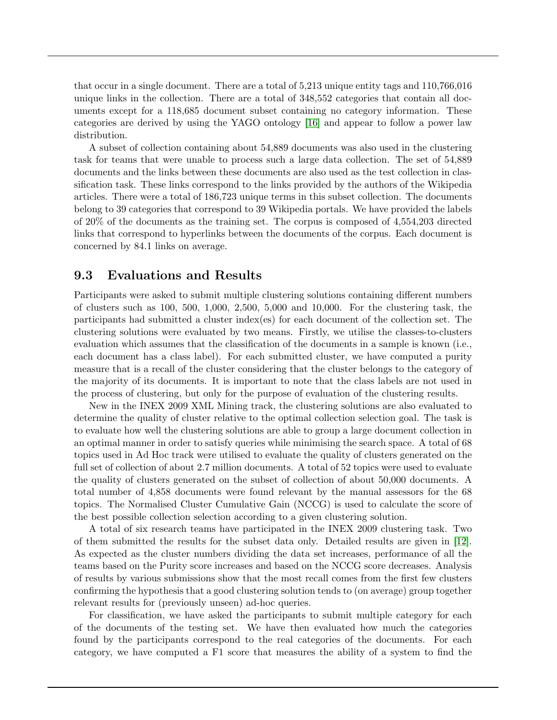that occur in a single document. There are a total of 5,213 unique entity tags and 110,766,016 unique links in the collection. There are a total of 348,552 categories that contain all documents except for a 118,685 document subset containing no category information. These categories are derived by using the YAGO ontology [\[16\]](#page-18-0) and appear to follow a power law distribution.

A subset of collection containing about 54,889 documents was also used in the clustering task for teams that were unable to process such a large data collection. The set of 54,889 documents and the links between these documents are also used as the test collection in classification task. These links correspond to the links provided by the authors of the Wikipedia articles. There were a total of 186,723 unique terms in this subset collection. The documents belong to 39 categories that correspond to 39 Wikipedia portals. We have provided the labels of 20% of the documents as the training set. The corpus is composed of 4,554,203 directed links that correspond to hyperlinks between the documents of the corpus. Each document is concerned by 84.1 links on average.

### 9.3 Evaluations and Results

Participants were asked to submit multiple clustering solutions containing different numbers of clusters such as 100, 500, 1,000, 2,500, 5,000 and 10,000. For the clustering task, the participants had submitted a cluster index(es) for each document of the collection set. The clustering solutions were evaluated by two means. Firstly, we utilise the classes-to-clusters evaluation which assumes that the classification of the documents in a sample is known (i.e., each document has a class label). For each submitted cluster, we have computed a purity measure that is a recall of the cluster considering that the cluster belongs to the category of the majority of its documents. It is important to note that the class labels are not used in the process of clustering, but only for the purpose of evaluation of the clustering results.

New in the INEX 2009 XML Mining track, the clustering solutions are also evaluated to determine the quality of cluster relative to the optimal collection selection goal. The task is to evaluate how well the clustering solutions are able to group a large document collection in an optimal manner in order to satisfy queries while minimising the search space. A total of 68 topics used in Ad Hoc track were utilised to evaluate the quality of clusters generated on the full set of collection of about 2.7 million documents. A total of 52 topics were used to evaluate the quality of clusters generated on the subset of collection of about 50,000 documents. A total number of 4,858 documents were found relevant by the manual assessors for the 68 topics. The Normalised Cluster Cumulative Gain (NCCG) is used to calculate the score of the best possible collection selection according to a given clustering solution.

A total of six research teams have participated in the INEX 2009 clustering task. Two of them submitted the results for the subset data only. Detailed results are given in [\[12\]](#page-18-9). As expected as the cluster numbers dividing the data set increases, performance of all the teams based on the Purity score increases and based on the NCCG score decreases. Analysis of results by various submissions show that the most recall comes from the first few clusters confirming the hypothesis that a good clustering solution tends to (on average) group together relevant results for (previously unseen) ad-hoc queries.

For classification, we have asked the participants to submit multiple category for each of the documents of the testing set. We have then evaluated how much the categories found by the participants correspond to the real categories of the documents. For each category, we have computed a F1 score that measures the ability of a system to find the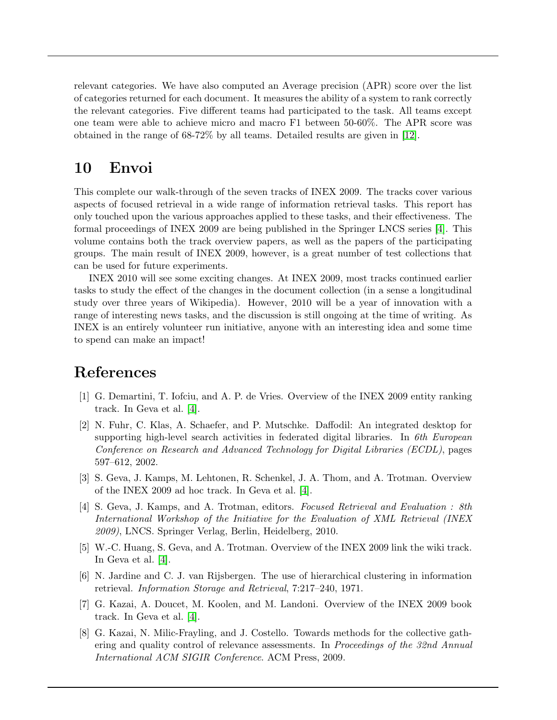relevant categories. We have also computed an Average precision (APR) score over the list of categories returned for each document. It measures the ability of a system to rank correctly the relevant categories. Five different teams had participated to the task. All teams except one team were able to achieve micro and macro F1 between 50-60%. The APR score was obtained in the range of 68-72% by all teams. Detailed results are given in [\[12\]](#page-18-9).

# 10 Envoi

This complete our walk-through of the seven tracks of INEX 2009. The tracks cover various aspects of focused retrieval in a wide range of information retrieval tasks. This report has only touched upon the various approaches applied to these tasks, and their effectiveness. The formal proceedings of INEX 2009 are being published in the Springer LNCS series [\[4\]](#page-17-1). This volume contains both the track overview papers, as well as the papers of the participating groups. The main result of INEX 2009, however, is a great number of test collections that can be used for future experiments.

INEX 2010 will see some exciting changes. At INEX 2009, most tracks continued earlier tasks to study the effect of the changes in the document collection (in a sense a longitudinal study over three years of Wikipedia). However, 2010 will be a year of innovation with a range of interesting news tasks, and the discussion is still ongoing at the time of writing. As INEX is an entirely volunteer run initiative, anyone with an interesting idea and some time to spend can make an impact!

# References

- <span id="page-17-4"></span>[1] G. Demartini, T. Iofciu, and A. P. de Vries. Overview of the INEX 2009 entity ranking track. In Geva et al. [\[4\]](#page-17-1).
- <span id="page-17-5"></span>[2] N. Fuhr, C. Klas, A. Schaefer, and P. Mutschke. Daffodil: An integrated desktop for supporting high-level search activities in federated digital libraries. In  $6th$  European Conference on Research and Advanced Technology for Digital Libraries (ECDL), pages 597–612, 2002.
- <span id="page-17-0"></span>[3] S. Geva, J. Kamps, M. Lehtonen, R. Schenkel, J. A. Thom, and A. Trotman. Overview of the INEX 2009 ad hoc track. In Geva et al. [\[4\]](#page-17-1).
- <span id="page-17-1"></span>[4] S. Geva, J. Kamps, and A. Trotman, editors. Focused Retrieval and Evaluation : 8th International Workshop of the Initiative for the Evaluation of XML Retrieval (INEX 2009), LNCS. Springer Verlag, Berlin, Heidelberg, 2010.
- <span id="page-17-6"></span>[5] W.-C. Huang, S. Geva, and A. Trotman. Overview of the INEX 2009 link the wiki track. In Geva et al. [\[4\]](#page-17-1).
- <span id="page-17-7"></span>[6] N. Jardine and C. J. van Rijsbergen. The use of hierarchical clustering in information retrieval. Information Storage and Retrieval, 7:217–240, 1971.
- <span id="page-17-2"></span>[7] G. Kazai, A. Doucet, M. Koolen, and M. Landoni. Overview of the INEX 2009 book track. In Geva et al. [\[4\]](#page-17-1).
- <span id="page-17-3"></span>[8] G. Kazai, N. Milic-Frayling, and J. Costello. Towards methods for the collective gathering and quality control of relevance assessments. In *Proceedings of the 32nd Annual* International ACM SIGIR Conference. ACM Press, 2009.